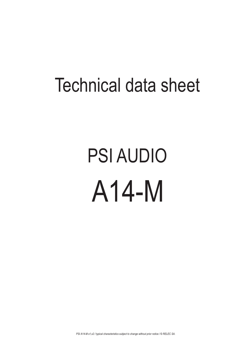## Technical data sheet

## PSI AUDIO A14-M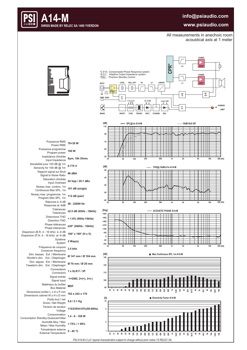## **info@psiaudio.com**



## **www.psiaudio.com**

All measurements in anechoic room acoustical axis at 1 meter



*PSI A14-M s1,s2 / typical characteristics subject to change without prior notice / © RELEC SA.*